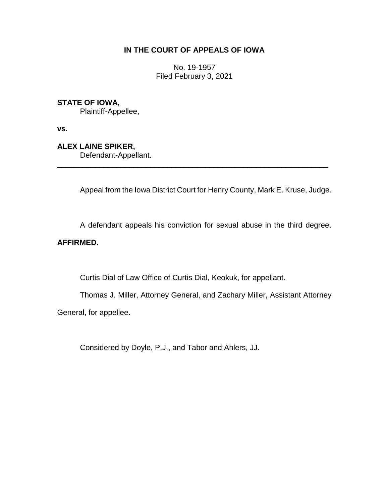# **IN THE COURT OF APPEALS OF IOWA**

No. 19-1957 Filed February 3, 2021

# **STATE OF IOWA,**

Plaintiff-Appellee,

**vs.**

# **ALEX LAINE SPIKER,**

Defendant-Appellant.

Appeal from the Iowa District Court for Henry County, Mark E. Kruse, Judge.

\_\_\_\_\_\_\_\_\_\_\_\_\_\_\_\_\_\_\_\_\_\_\_\_\_\_\_\_\_\_\_\_\_\_\_\_\_\_\_\_\_\_\_\_\_\_\_\_\_\_\_\_\_\_\_\_\_\_\_\_\_\_\_\_

A defendant appeals his conviction for sexual abuse in the third degree.

# **AFFIRMED.**

Curtis Dial of Law Office of Curtis Dial, Keokuk, for appellant.

Thomas J. Miller, Attorney General, and Zachary Miller, Assistant Attorney General, for appellee.

Considered by Doyle, P.J., and Tabor and Ahlers, JJ.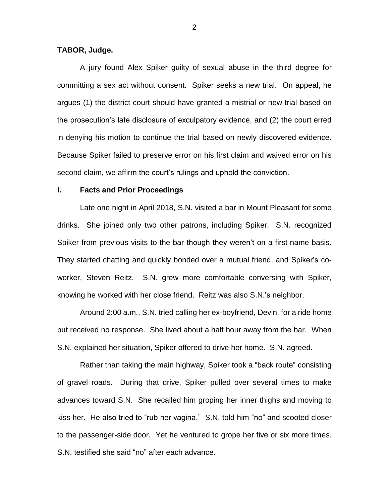### **TABOR, Judge.**

A jury found Alex Spiker guilty of sexual abuse in the third degree for committing a sex act without consent. Spiker seeks a new trial. On appeal, he argues (1) the district court should have granted a mistrial or new trial based on the prosecution's late disclosure of exculpatory evidence, and (2) the court erred in denying his motion to continue the trial based on newly discovered evidence. Because Spiker failed to preserve error on his first claim and waived error on his second claim, we affirm the court's rulings and uphold the conviction.

#### **I. Facts and Prior Proceedings**

Late one night in April 2018, S.N. visited a bar in Mount Pleasant for some drinks. She joined only two other patrons, including Spiker. S.N. recognized Spiker from previous visits to the bar though they weren't on a first-name basis. They started chatting and quickly bonded over a mutual friend, and Spiker's coworker, Steven Reitz. S.N. grew more comfortable conversing with Spiker, knowing he worked with her close friend. Reitz was also S.N.'s neighbor.

Around 2:00 a.m., S.N. tried calling her ex-boyfriend, Devin, for a ride home but received no response. She lived about a half hour away from the bar. When S.N. explained her situation, Spiker offered to drive her home. S.N. agreed.

Rather than taking the main highway, Spiker took a "back route" consisting of gravel roads. During that drive, Spiker pulled over several times to make advances toward S.N. She recalled him groping her inner thighs and moving to kiss her. He also tried to "rub her vagina." S.N. told him "no" and scooted closer to the passenger-side door. Yet he ventured to grope her five or six more times. S.N. testified she said "no" after each advance.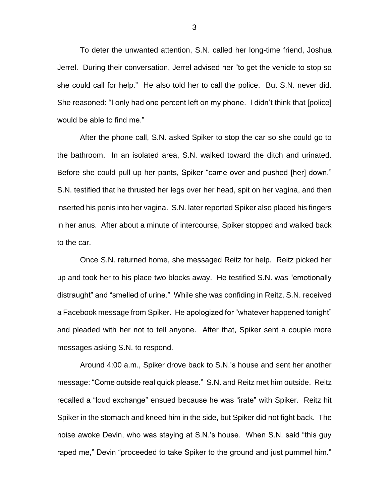To deter the unwanted attention, S.N. called her long-time friend, Joshua Jerrel. During their conversation, Jerrel advised her "to get the vehicle to stop so she could call for help." He also told her to call the police. But S.N. never did. She reasoned: "I only had one percent left on my phone. I didn't think that [police] would be able to find me."

After the phone call, S.N. asked Spiker to stop the car so she could go to the bathroom. In an isolated area, S.N. walked toward the ditch and urinated. Before she could pull up her pants, Spiker "came over and pushed [her] down." S.N. testified that he thrusted her legs over her head, spit on her vagina, and then inserted his penis into her vagina. S.N. later reported Spiker also placed his fingers in her anus. After about a minute of intercourse, Spiker stopped and walked back to the car.

Once S.N. returned home, she messaged Reitz for help. Reitz picked her up and took her to his place two blocks away. He testified S.N. was "emotionally distraught" and "smelled of urine." While she was confiding in Reitz, S.N. received a Facebook message from Spiker. He apologized for "whatever happened tonight" and pleaded with her not to tell anyone. After that, Spiker sent a couple more messages asking S.N. to respond.

Around 4:00 a.m., Spiker drove back to S.N.'s house and sent her another message: "Come outside real quick please." S.N. and Reitz met him outside. Reitz recalled a "loud exchange" ensued because he was "irate" with Spiker. Reitz hit Spiker in the stomach and kneed him in the side, but Spiker did not fight back. The noise awoke Devin, who was staying at S.N.'s house. When S.N. said "this guy raped me," Devin "proceeded to take Spiker to the ground and just pummel him."

3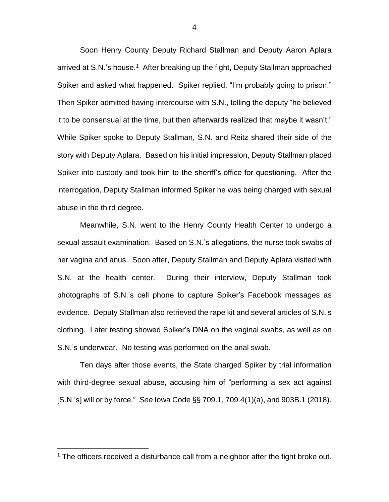Soon Henry County Deputy Richard Stallman and Deputy Aaron Aplara arrived at S.N.'s house.<sup>1</sup> After breaking up the fight, Deputy Stallman approached Spiker and asked what happened. Spiker replied, "I'm probably going to prison." Then Spiker admitted having intercourse with S.N., telling the deputy "he believed it to be consensual at the time, but then afterwards realized that maybe it wasn't." While Spiker spoke to Deputy Stallman, S.N. and Reitz shared their side of the story with Deputy Aplara. Based on his initial impression, Deputy Stallman placed Spiker into custody and took him to the sheriff's office for questioning. After the interrogation, Deputy Stallman informed Spiker he was being charged with sexual abuse in the third degree.

Meanwhile, S.N. went to the Henry County Health Center to undergo a sexual-assault examination. Based on S.N.'s allegations, the nurse took swabs of her vagina and anus. Soon after, Deputy Stallman and Deputy Aplara visited with S.N. at the health center. During their interview, Deputy Stallman took photographs of S.N.'s cell phone to capture Spiker's Facebook messages as evidence. Deputy Stallman also retrieved the rape kit and several articles of S.N.'s clothing. Later testing showed Spiker's DNA on the vaginal swabs, as well as on S.N.'s underwear. No testing was performed on the anal swab.

Ten days after those events, the State charged Spiker by trial information with third-degree sexual abuse, accusing him of "performing a sex act against [S.N.'s] will or by force." *See* Iowa Code §§ 709.1, 709.4(1)(a), and 903B.1 (2018).

<sup>&</sup>lt;sup>1</sup> The officers received a disturbance call from a neighbor after the fight broke out.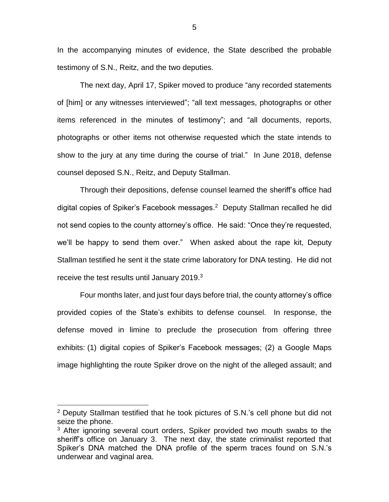In the accompanying minutes of evidence, the State described the probable testimony of S.N., Reitz, and the two deputies.

The next day, April 17, Spiker moved to produce "any recorded statements of [him] or any witnesses interviewed"; "all text messages, photographs or other items referenced in the minutes of testimony"; and "all documents, reports, photographs or other items not otherwise requested which the state intends to show to the jury at any time during the course of trial." In June 2018, defense counsel deposed S.N., Reitz, and Deputy Stallman.

Through their depositions, defense counsel learned the sheriff's office had digital copies of Spiker's Facebook messages. 2 Deputy Stallman recalled he did not send copies to the county attorney's office. He said: "Once they're requested, we'll be happy to send them over." When asked about the rape kit, Deputy Stallman testified he sent it the state crime laboratory for DNA testing. He did not receive the test results until January 2019. $3$ 

Four months later, and just four days before trial, the county attorney's office provided copies of the State's exhibits to defense counsel. In response, the defense moved in limine to preclude the prosecution from offering three exhibits: (1) digital copies of Spiker's Facebook messages; (2) a Google Maps image highlighting the route Spiker drove on the night of the alleged assault; and

<sup>2</sup> Deputy Stallman testified that he took pictures of S.N.'s cell phone but did not seize the phone.

<sup>&</sup>lt;sup>3</sup> After ignoring several court orders, Spiker provided two mouth swabs to the sheriff's office on January 3. The next day, the state criminalist reported that Spiker's DNA matched the DNA profile of the sperm traces found on S.N.'s underwear and vaginal area.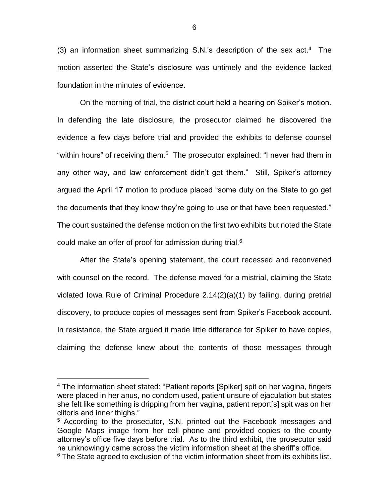(3) an information sheet summarizing S.N.'s description of the sex  $act<sup>4</sup>$ . The motion asserted the State's disclosure was untimely and the evidence lacked foundation in the minutes of evidence.

On the morning of trial, the district court held a hearing on Spiker's motion. In defending the late disclosure, the prosecutor claimed he discovered the evidence a few days before trial and provided the exhibits to defense counsel "within hours" of receiving them.<sup>5</sup> The prosecutor explained: "I never had them in any other way, and law enforcement didn't get them." Still, Spiker's attorney argued the April 17 motion to produce placed "some duty on the State to go get the documents that they know they're going to use or that have been requested." The court sustained the defense motion on the first two exhibits but noted the State could make an offer of proof for admission during trial.<sup>6</sup>

After the State's opening statement, the court recessed and reconvened with counsel on the record. The defense moved for a mistrial, claiming the State violated Iowa Rule of Criminal Procedure 2.14(2)(a)(1) by failing, during pretrial discovery, to produce copies of messages sent from Spiker's Facebook account. In resistance, the State argued it made little difference for Spiker to have copies, claiming the defense knew about the contents of those messages through

<sup>&</sup>lt;sup>4</sup> The information sheet stated: "Patient reports [Spiker] spit on her vagina, fingers were placed in her anus, no condom used, patient unsure of ejaculation but states she felt like something is dripping from her vagina, patient report[s] spit was on her clitoris and inner thighs."

<sup>5</sup> According to the prosecutor, S.N. printed out the Facebook messages and Google Maps image from her cell phone and provided copies to the county attorney's office five days before trial. As to the third exhibit, the prosecutor said he unknowingly came across the victim information sheet at the sheriff's office.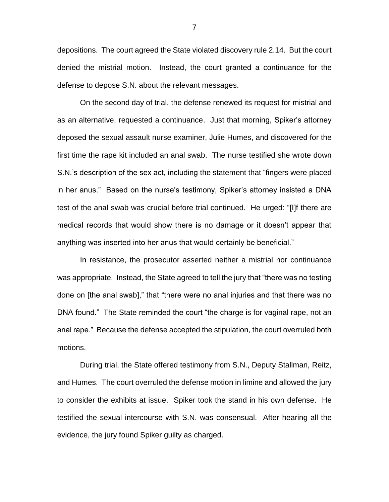depositions. The court agreed the State violated discovery rule 2.14. But the court denied the mistrial motion. Instead, the court granted a continuance for the defense to depose S.N. about the relevant messages.

On the second day of trial, the defense renewed its request for mistrial and as an alternative, requested a continuance. Just that morning, Spiker's attorney deposed the sexual assault nurse examiner, Julie Humes, and discovered for the first time the rape kit included an anal swab. The nurse testified she wrote down S.N.'s description of the sex act, including the statement that "fingers were placed in her anus." Based on the nurse's testimony, Spiker's attorney insisted a DNA test of the anal swab was crucial before trial continued. He urged: "[I]f there are medical records that would show there is no damage or it doesn't appear that anything was inserted into her anus that would certainly be beneficial."

In resistance, the prosecutor asserted neither a mistrial nor continuance was appropriate. Instead, the State agreed to tell the jury that "there was no testing done on [the anal swab]," that "there were no anal injuries and that there was no DNA found." The State reminded the court "the charge is for vaginal rape, not an anal rape." Because the defense accepted the stipulation, the court overruled both motions.

During trial, the State offered testimony from S.N., Deputy Stallman, Reitz, and Humes. The court overruled the defense motion in limine and allowed the jury to consider the exhibits at issue. Spiker took the stand in his own defense. He testified the sexual intercourse with S.N. was consensual. After hearing all the evidence, the jury found Spiker guilty as charged.

7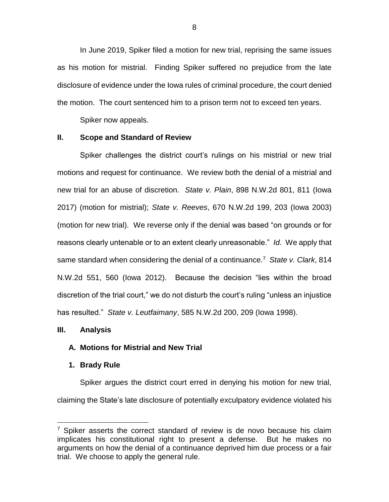In June 2019, Spiker filed a motion for new trial, reprising the same issues as his motion for mistrial. Finding Spiker suffered no prejudice from the late disclosure of evidence under the Iowa rules of criminal procedure, the court denied the motion. The court sentenced him to a prison term not to exceed ten years.

Spiker now appeals.

## **II. Scope and Standard of Review**

Spiker challenges the district court's rulings on his mistrial or new trial motions and request for continuance. We review both the denial of a mistrial and new trial for an abuse of discretion. *State v. Plain*, 898 N.W.2d 801, 811 (Iowa 2017) (motion for mistrial); *State v. Reeves*, 670 N.W.2d 199, 203 (Iowa 2003) (motion for new trial). We reverse only if the denial was based "on grounds or for reasons clearly untenable or to an extent clearly unreasonable." *Id.* We apply that same standard when considering the denial of a continuance.<sup>7</sup> State v. Clark, 814 N.W.2d 551, 560 (Iowa 2012). Because the decision "lies within the broad discretion of the trial court," we do not disturb the court's ruling "unless an injustice has resulted." *State v. Leutfaimany*, 585 N.W.2d 200, 209 (Iowa 1998).

## **III. Analysis**

 $\overline{a}$ 

## **A. Motions for Mistrial and New Trial**

## **1. Brady Rule**

Spiker argues the district court erred in denying his motion for new trial, claiming the State's late disclosure of potentially exculpatory evidence violated his

 $7$  Spiker asserts the correct standard of review is de novo because his claim implicates his constitutional right to present a defense. But he makes no arguments on how the denial of a continuance deprived him due process or a fair trial. We choose to apply the general rule.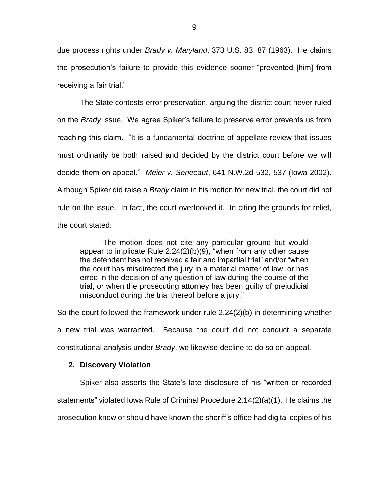due process rights under *Brady v. Maryland*, 373 U.S. 83, 87 (1963). He claims the prosecution's failure to provide this evidence sooner "prevented [him] from receiving a fair trial."

The State contests error preservation, arguing the district court never ruled on the *Brady* issue. We agree Spiker's failure to preserve error prevents us from reaching this claim. "It is a fundamental doctrine of appellate review that issues must ordinarily be both raised and decided by the district court before we will decide them on appeal." *Meier v. Senecaut*, 641 N.W.2d 532, 537 (Iowa 2002). Although Spiker did raise a *Brady* claim in his motion for new trial, the court did not rule on the issue. In fact, the court overlooked it. In citing the grounds for relief, the court stated:

The motion does not cite any particular ground but would appear to implicate Rule 2.24(2)(b)(9), "when from any other cause the defendant has not received a fair and impartial trial" and/or "when the court has misdirected the jury in a material matter of law, or has erred in the decision of any question of law during the course of the trial, or when the prosecuting attorney has been guilty of prejudicial misconduct during the trial thereof before a jury."

So the court followed the framework under rule 2.24(2)(b) in determining whether a new trial was warranted. Because the court did not conduct a separate constitutional analysis under *Brady*, we likewise decline to do so on appeal.

## **2. Discovery Violation**

Spiker also asserts the State's late disclosure of his "written or recorded statements" violated Iowa Rule of Criminal Procedure 2.14(2)(a)(1). He claims the prosecution knew or should have known the sheriff's office had digital copies of his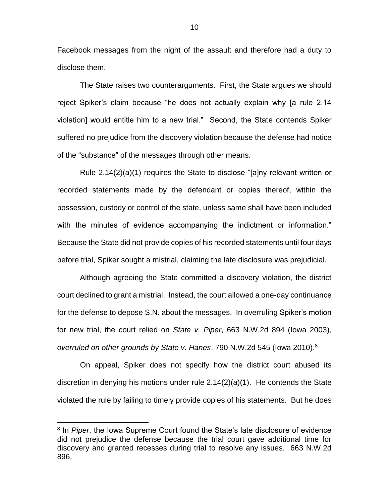Facebook messages from the night of the assault and therefore had a duty to disclose them.

The State raises two counterarguments. First, the State argues we should reject Spiker's claim because "he does not actually explain why [a rule 2.14 violation] would entitle him to a new trial." Second, the State contends Spiker suffered no prejudice from the discovery violation because the defense had notice of the "substance" of the messages through other means.

Rule 2.14(2)(a)(1) requires the State to disclose "[a]ny relevant written or recorded statements made by the defendant or copies thereof, within the possession, custody or control of the state, unless same shall have been included with the minutes of evidence accompanying the indictment or information." Because the State did not provide copies of his recorded statements until four days before trial, Spiker sought a mistrial, claiming the late disclosure was prejudicial.

Although agreeing the State committed a discovery violation, the district court declined to grant a mistrial. Instead, the court allowed a one-day continuance for the defense to depose S.N. about the messages. In overruling Spiker's motion for new trial, the court relied on *State v. Piper*, 663 N.W.2d 894 (Iowa 2003), *overruled on other grounds by State v. Hanes*, 790 N.W.2d 545 (Iowa 2010). 8

On appeal, Spiker does not specify how the district court abused its discretion in denying his motions under rule 2.14(2)(a)(1). He contends the State violated the rule by failing to timely provide copies of his statements. But he does

<sup>&</sup>lt;sup>8</sup> In *Piper*, the Iowa Supreme Court found the State's late disclosure of evidence did not prejudice the defense because the trial court gave additional time for discovery and granted recesses during trial to resolve any issues. 663 N.W.2d 896.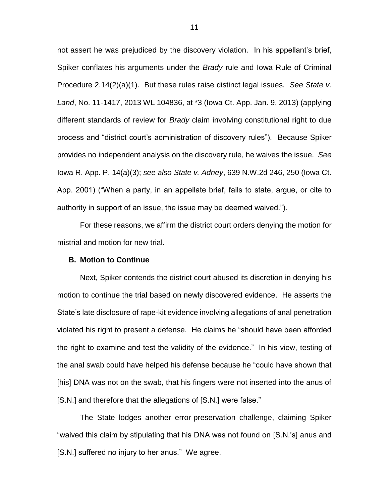not assert he was prejudiced by the discovery violation. In his appellant's brief, Spiker conflates his arguments under the *Brady* rule and Iowa Rule of Criminal Procedure 2.14(2)(a)(1). But these rules raise distinct legal issues. *See State v. Land*, No. 11-1417, 2013 WL 104836, at \*3 (Iowa Ct. App. Jan. 9, 2013) (applying different standards of review for *Brady* claim involving constitutional right to due process and "district court's administration of discovery rules"). Because Spiker provides no independent analysis on the discovery rule, he waives the issue. *See*  Iowa R. App. P. 14(a)(3); *see also State v. Adney*, 639 N.W.2d 246, 250 (Iowa Ct. App. 2001) ("When a party, in an appellate brief, fails to state, argue, or cite to authority in support of an issue, the issue may be deemed waived.").

For these reasons, we affirm the district court orders denying the motion for mistrial and motion for new trial.

#### **B. Motion to Continue**

Next, Spiker contends the district court abused its discretion in denying his motion to continue the trial based on newly discovered evidence. He asserts the State's late disclosure of rape-kit evidence involving allegations of anal penetration violated his right to present a defense. He claims he "should have been afforded the right to examine and test the validity of the evidence." In his view, testing of the anal swab could have helped his defense because he "could have shown that [his] DNA was not on the swab, that his fingers were not inserted into the anus of [S.N.] and therefore that the allegations of [S.N.] were false."

The State lodges another error-preservation challenge, claiming Spiker "waived this claim by stipulating that his DNA was not found on [S.N.'s] anus and [S.N.] suffered no injury to her anus." We agree.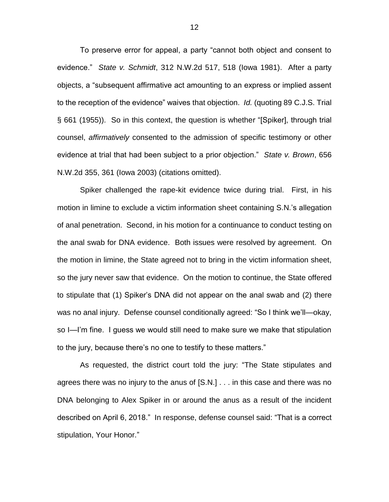To preserve error for appeal, a party "cannot both object and consent to evidence." *State v. Schmidt*, 312 N.W.2d 517, 518 (Iowa 1981). After a party objects, a "subsequent affirmative act amounting to an express or implied assent to the reception of the evidence" waives that objection. *Id.* (quoting 89 C.J.S. Trial § 661 (1955)). So in this context, the question is whether "[Spiker], through trial counsel, *affirmatively* consented to the admission of specific testimony or other evidence at trial that had been subject to a prior objection." *State v. Brown*, 656 N.W.2d 355, 361 (Iowa 2003) (citations omitted).

Spiker challenged the rape-kit evidence twice during trial. First, in his motion in limine to exclude a victim information sheet containing S.N.'s allegation of anal penetration. Second, in his motion for a continuance to conduct testing on the anal swab for DNA evidence. Both issues were resolved by agreement. On the motion in limine, the State agreed not to bring in the victim information sheet, so the jury never saw that evidence. On the motion to continue, the State offered to stipulate that (1) Spiker's DNA did not appear on the anal swab and (2) there was no anal injury. Defense counsel conditionally agreed: "So I think we'll—okay, so I—I'm fine. I guess we would still need to make sure we make that stipulation to the jury, because there's no one to testify to these matters."

As requested, the district court told the jury: "The State stipulates and agrees there was no injury to the anus of [S.N.] . . . in this case and there was no DNA belonging to Alex Spiker in or around the anus as a result of the incident described on April 6, 2018." In response, defense counsel said: "That is a correct stipulation, Your Honor."